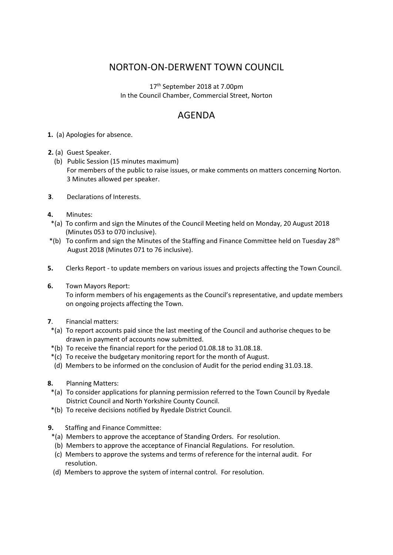## NORTON-ON-DERWENT TOWN COUNCIL

17<sup>th</sup> September 2018 at 7.00pm In the Council Chamber, Commercial Street, Norton

## AGENDA

- **1.** (a) Apologies for absence.
- **2.** (a) Guest Speaker.
	- (b) Public Session (15 minutes maximum) For members of the public to raise issues, or make comments on matters concerning Norton. 3 Minutes allowed per speaker.
- **3**. Declarations of Interests.
- **4.** Minutes:
- \*(a) To confirm and sign the Minutes of the Council Meeting held on Monday, 20 August 2018 (Minutes 053 to 070 inclusive).
- $*(b)$  To confirm and sign the Minutes of the Staffing and Finance Committee held on Tuesday 28<sup>th</sup> August 2018 (Minutes 071 to 76 inclusive).
- **5.** Clerks Report to update members on various issues and projects affecting the Town Council.
- **6.** Town Mayors Report:

 To inform members of his engagements as the Council's representative, and update members on ongoing projects affecting the Town.

- **7**. Financial matters:
- \*(a) To report accounts paid since the last meeting of the Council and authorise cheques to be drawn in payment of accounts now submitted.
- \*(b) To receive the financial report for the period 01.08.18 to 31.08.18.
- \*(c) To receive the budgetary monitoring report for the month of August.
- (d) Members to be informed on the conclusion of Audit for the period ending 31.03.18.
- **8.** Planning Matters:
- \*(a) To consider applications for planning permission referred to the Town Council by Ryedale District Council and North Yorkshire County Council.
- \*(b) To receive decisions notified by Ryedale District Council.
- **9.** Staffing and Finance Committee:
	- \*(a) Members to approve the acceptance of Standing Orders. For resolution.
	- (b) Members to approve the acceptance of Financial Regulations. For resolution.
	- (c) Members to approve the systems and terms of reference for the internal audit. For resolution.
	- (d) Members to approve the system of internal control. For resolution.